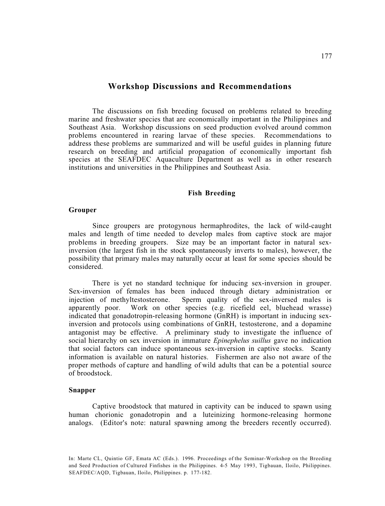## **Workshop Discussions and Recommendations**

The discussions on fish breeding focused on problems related to breeding marine and freshwater species that are economically important in the Philippines and Southeast Asia. Workshop discussions on seed production evolved around common problems encountered in rearing larvae of these species. Recommendations to address these problems are summarized and will be useful guides in planning future research on breeding and artificial propagation of economically important fish species at the SEAFDEC Aquaculture Department as well as in other research institutions and universities in the Philippines and Southeast Asia.

#### **Fish Breeding**

#### **Grouper**

Since groupers are protogynous hermaphrodites, the lack of wild-caught males and length of time needed to develop males from captive stock are major problems in breeding groupers. Size may be an important factor in natural sexinversion (the largest fish in the stock spontaneously inverts to males), however, the possibility that primary males may naturally occur at least for some species should be considered.

There is yet no standard technique for inducing sex-inversion in grouper. Sex-inversion of females has been induced through dietary administration or injection of methyltestosterone. Sperm quality of the sex-inversed males is apparently poor. Work on other species (e.g. ricefield eel, bluehead wrasse) indicated that gonadotropin-releasing hormone (GnRH) is important in inducing sexinversion and protocols using combinations of GnRH, testosterone, and a dopamine antagonist may be effective. A preliminary study to investigate the influence of social hierarchy on sex inversion in immature *Epinephelus suillus* gave no indication that social factors can induce spontaneous sex-inversion in captive stocks. Scanty information is available on natural histories. Fishermen are also not aware of the proper methods of capture and handling of wild adults that can be a potential source of broodstock.

## **Snapper**

Captive broodstock that matured in captivity can be induced to spawn using human chorionic gonadotropin and a luteinizing hormone-releasing hormone analogs. (Editor's note: natural spawning among the breeders recently occurred).

In: Marte CL, Quintio GF, Emata AC (Eds.). 1996. Proceedings of the Seminar-Workshop on the Breeding and Seed Production of Cultured Finfishes in the Philippines. 4-5 May 1993, Tigbauan, Iloilo, Philippines. SEAFDEC/AQD, Tigbauan, Iloilo, Philippines. p. 177-182.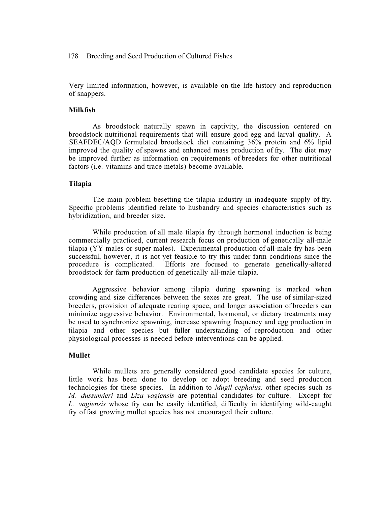#### 178 Breeding and Seed Production of Cultured Fishes

Very limited information, however, is available on the life history and reproduction of snappers.

### **Milkfish**

As broodstock naturally spawn in captivity, the discussion centered on broodstock nutritional requirements that will ensure good egg and larval quality. A SEAFDEC/AQD formulated broodstock diet containing 36% protein and 6% lipid improved the quality of spawns and enhanced mass production of fry. The diet may be improved further as information on requirements of breeders for other nutritional factors (i.e. vitamins and trace metals) become available.

### **Tilapia**

The main problem besetting the tilapia industry in inadequate supply of fry. Specific problems identified relate to husbandry and species characteristics such as hybridization, and breeder size.

While production of all male tilapia fry through hormonal induction is being commercially practiced, current research focus on production of genetically all-male tilapia (YY males or super males). Experimental production of all-male fry has been successful, however, it is not yet feasible to try this under farm conditions since the procedure is complicated. Efforts are focused to generate genetically-altered broodstock for farm production of genetically all-male tilapia.

Aggressive behavior among tilapia during spawning is marked when crowding and size differences between the sexes are great. The use of similar-sized breeders, provision of adequate rearing space, and longer association of breeders can minimize aggressive behavior. Environmental, hormonal, or dietary treatments may be used to synchronize spawning, increase spawning frequency and egg production in tilapia and other species but fuller understanding of reproduction and other physiological processes is needed before interventions can be applied.

#### **Mullet**

While mullets are generally considered good candidate species for culture, little work has been done to develop or adopt breeding and seed production technologies for these species. In addition to *Mugil cephalus,* other species such as *M. dussumieri* and *Liza vagiensis* are potential candidates for culture. Except for *L. vagiensis* whose fry can be easily identified, difficulty in identifying wild-caught fry of fast growing mullet species has not encouraged their culture.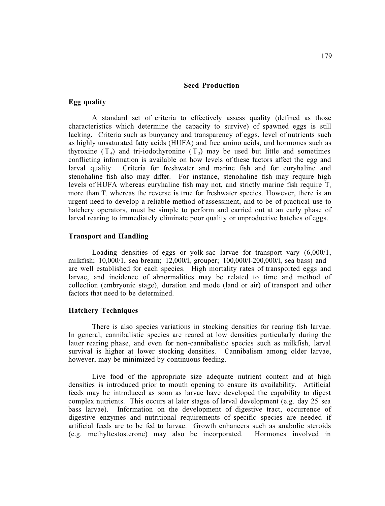## **Seed Production**

## **Egg quality**

A standard set of criteria to effectively assess quality (defined as those characteristics which determine the capacity to survive) of spawned eggs is still lacking. Criteria such as buoyancy and transparency of eggs, level of nutrients such as highly unsaturated fatty acids (HUFA) and free amino acids, and hormones such as thyroxine  $(T_4)$  and tri-iodothyronine  $(T_3)$  may be used but little and sometimes conflicting information is available on how levels of these factors affect the egg and larval quality. Criteria for freshwater and marine fish and for euryhaline and stenohaline fish also may differ. For instance, stenohaline fish may require high levels of HUFA whereas euryhaline fish may not, and strictly marine fish require  $T<sub>3</sub>$ more than T<sub>4</sub> whereas the reverse is true for freshwater species. However, there is an urgent need to develop a reliable method of assessment, and to be of practical use to hatchery operators, must be simple to perform and carried out at an early phase of larval rearing to immediately eliminate poor quality or unproductive batches of eggs.

### **Transport and Handling**

Loading densities of eggs or yolk-sac larvae for transport vary (6,000/1, milkfish; 10,000/1, sea bream; 12,000/l, grouper; 100,000/l-200,000/l, sea bass) and are well established for each species. High mortality rates of transported eggs and larvae, and incidence of abnormalities may be related to time and method of collection (embryonic stage), duration and mode (land or air) of transport and other factors that need to be determined.

#### **Hatchery Techniques**

There is also species variations in stocking densities for rearing fish larvae. In general, cannibalistic species are reared at low densities particularly during the latter rearing phase, and even for non-cannibalistic species such as milkfish, larval survival is higher at lower stocking densities. Cannibalism among older larvae, however, may be minimized by continuous feeding.

Live food of the appropriate size adequate nutrient content and at high densities is introduced prior to mouth opening to ensure its availability. Artificial feeds may be introduced as soon as larvae have developed the capability to digest complex nutrients. This occurs at later stages of larval development (e.g. day 25 sea bass larvae). Information on the development of digestive tract, occurrence of digestive enzymes and nutritional requirements of specific species are needed if artificial feeds are to be fed to larvae. Growth enhancers such as anabolic steroids (e.g. methyltestosterone) may also be incorporated. Hormones involved in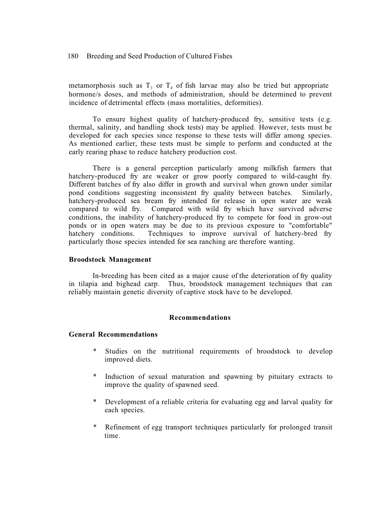180 Breeding and Seed Production of Cultured Fishes

metamorphosis such as  $T_3$  or  $T_4$  of fish larvae may also be tried but appropriate hormone/s doses, and methods of administration, should be determined to prevent incidence of detrimental effects (mass mortalities, deformities).

To ensure highest quality of hatchery-produced fry, sensitive tests (e.g. thermal, salinity, and handling shock tests) may be applied. However, tests must be developed for each species since response to these tests will differ among species. As mentioned earlier, these tests must be simple to perform and conducted at the early rearing phase to reduce hatchery production cost.

There is a general perception particularly among milkfish farmers that hatchery-produced fry are weaker or grow poorly compared to wild-caught fry. Different batches of fry also differ in growth and survival when grown under similar pond conditions suggesting inconsistent fry quality between batches. Similarly, hatchery-produced sea bream fry intended for release in open water are weak compared to wild fry. Compared with wild fry which have survived adverse conditions, the inability of hatchery-produced fry to compete for food in grow-out ponds or in open waters may be due to its previous exposure to "comfortable" hatchery conditions. Techniques to improve survival of hatchery-bred fry particularly those species intended for sea ranching are therefore wanting.

#### **Broodstock Management**

In-breeding has been cited as a major cause of the deterioration of fry quality in tilapia and bighead carp. Thus, broodstock management techniques that can reliably maintain genetic diversity of captive stock have to be developed.

#### **Recommendations**

#### **General Recommendations**

- Studies on the nutritional requirements of broodstock to develop improved diets.
- Induction of sexual maturation and spawning by pituitary extracts to improve the quality of spawned seed.
- \* Development of a reliable criteria for evaluating egg and larval quality for each species.
- \* Refinement of egg transport techniques particularly for prolonged transit time.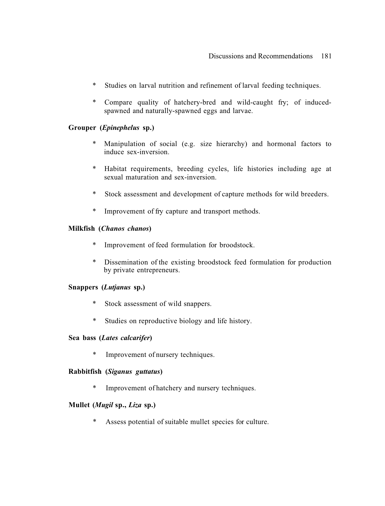- \* Studies on larval nutrition and refinement of larval feeding techniques.
- \* Compare quality of hatchery-bred and wild-caught fry; of inducedspawned and naturally-spawned eggs and larvae.

# **Grouper (***Epinephelus* **sp.)**

- \* Manipulation of social (e.g. size hierarchy) and hormonal factors to induce sex-inversion.
- \* Habitat requirements, breeding cycles, life histories including age at sexual maturation and sex-inversion.
- \* Stock assessment and development of capture methods for wild breeders.
- \* Improvement of fry capture and transport methods.

## **Milkfish (***Chanos chanos***)**

- \* Improvement of feed formulation for broodstock.
- \* Dissemination of the existing broodstock feed formulation for production by private entrepreneurs.

## **Snappers (***Lutjanus* **sp.)**

- \* Stock assessment of wild snappers.
- \* Studies on reproductive biology and life history.

## **Sea bass (***Lates calcarifer***)**

\* Improvement of nursery techniques.

## **Rabbitfish (***Siganus guttatus***)**

\* Improvement of hatchery and nursery techniques.

## **Mullet (***Mugil* **sp.,** *Liza* **sp.)**

\* Assess potential of suitable mullet species for culture.